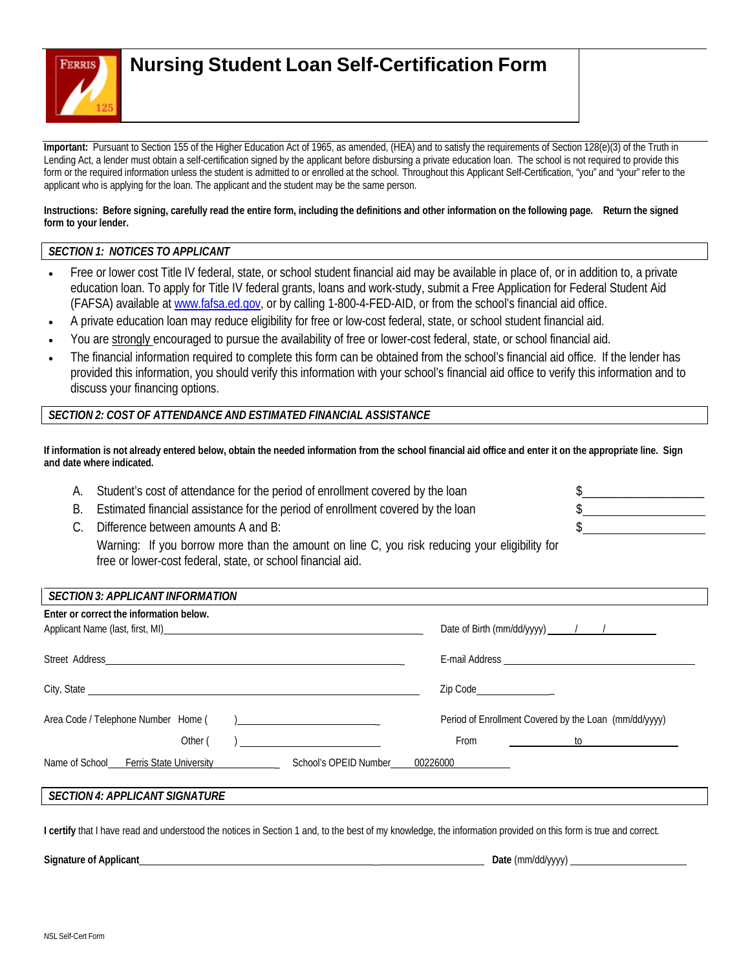

# **Nursing Student Loan Self-Certification Form**

**Important:** Pursuant to Section 155 of the Higher Education Act of 1965, as amended, (HEA) and to satisfy the requirements of Section 128(e)(3) of the Truth in Lending Act, a lender must obtain a self-certification signed by the applicant before disbursing a private education loan. The school is not required to provide this form or the required information unless the student is admitted to or enrolled at the school. Throughout this Applicant Self-Certification, "you" and "your" refer to the applicant who is applying for the loan. The applicant and the student may be the same person.

Instructions: Before signing, carefully read the entire form, including the definitions and other information on the following page. Return the signed **form to your lender.**

## *SECTION 1: NOTICES TO APPLICANT*

- Free or lower cost Title IV federal, state, or school student financial aid may be available in place of, or in addition to, a private education loan. To apply for Title IV federal grants, loans and work-study, submit a Free Application for Federal Student Aid (FAFSA) available at [www.fafsa.ed.gov,](http://www.fafsa.ed.gov/) or by calling 1-800-4-FED-AID, or from the school's financial aid office.
- A private education loan may reduce eligibility for free or low-cost federal, state, or school student financial aid.
- You are strongly encouraged to pursue the availability of free or lower-cost federal, state, or school financial aid.
- The financial information required to complete this form can be obtained from the school's financial aid office. If the lender has provided this information, you should verify this information with your school's financial aid office to verify this information and to discuss your financing options.

### *SECTION 2: COST OF ATTENDANCE AND ESTIMATED FINANCIAL ASSISTANCE*

If information is not already entered below, obtain the needed information from the school financial aid office and enter it on the appropriate line. Sign **and date where indicated.**

- A. Student's cost of attendance for the period of enrollment covered by the loan
- B. Estimated financial assistance for the period of enrollment covered by the loan
- C. Difference between amounts A and B:

Warning: If you borrow more than the amount on line C, you risk reducing your eligibility for free or lower-cost federal, state, or school financial aid.

| <b>SECTION 3: APPLICANT INFORMATION</b>                                                                                                                                                                                             |                                                                                                                                |
|-------------------------------------------------------------------------------------------------------------------------------------------------------------------------------------------------------------------------------------|--------------------------------------------------------------------------------------------------------------------------------|
| Enter or correct the information below.                                                                                                                                                                                             | Date of Birth (mm/dd/yyyy) $\frac{1}{\sqrt{1-\frac{1}{2}}}\$                                                                   |
| Street Address<br><u> 1989 - Johann John Stein, fransk politik (d. 1989)</u>                                                                                                                                                        |                                                                                                                                |
| City, State <u>example and the state of</u> the state of the state of the state of the state of the state of the state of the state of the state of the state of the state of the state of the state of the state of the state of t | Zip Code________________                                                                                                       |
| Area Code / Telephone Number Home (<br>) <u>_____________________</u> _                                                                                                                                                             | Period of Enrollment Covered by the Loan (mm/dd/yyyy)                                                                          |
| Other (<br><u> 1980 - Jan Barbara Barbara, prima prima prima prima prima prima prima prima prima prima prima prima prima pr</u>                                                                                                     | From<br>$\mathsf{to}$ . The set of $\mathsf{to}$ is a set of $\mathsf{to}$ is a set of $\mathsf{to}$ is a set of $\mathsf{to}$ |
| Name of School Ferris State University Ferris State University<br>School's OPEID Number                                                                                                                                             | 00226000                                                                                                                       |
| <b>SECTION 4: APPLICANT SIGNATURE</b>                                                                                                                                                                                               |                                                                                                                                |

**I certify** that I have read and understood the notices in Section 1 and, to the best of my knowledge, the information provided on this form is true and correct.

**Signature of Applicant** \_ **Date** (mm/dd/yyyy)

\_\_\_\_\_\_\_\_\_\_\_\_\_\_\_\_\_\_\_

\$